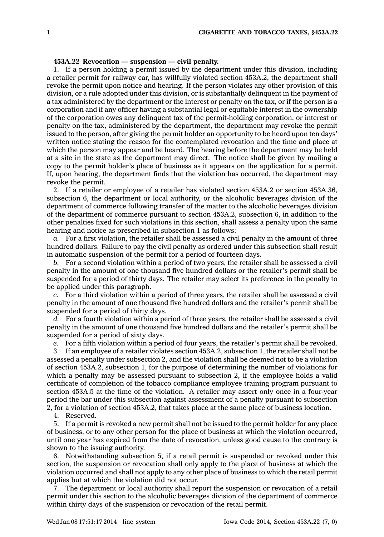## **453A.22 Revocation — suspension — civil penalty.**

1. If <sup>a</sup> person holding <sup>a</sup> permit issued by the department under this division, including <sup>a</sup> retailer permit for railway car, has willfully violated section 453A.2, the department shall revoke the permit upon notice and hearing. If the person violates any other provision of this division, or <sup>a</sup> rule adopted under this division, or is substantially delinquent in the payment of <sup>a</sup> tax administered by the department or the interest or penalty on the tax, or if the person is <sup>a</sup> corporation and if any officer having <sup>a</sup> substantial legal or equitable interest in the ownership of the corporation owes any delinquent tax of the permit-holding corporation, or interest or penalty on the tax, administered by the department, the department may revoke the permit issued to the person, after giving the permit holder an opportunity to be heard upon ten days' written notice stating the reason for the contemplated revocation and the time and place at which the person may appear and be heard. The hearing before the department may be held at <sup>a</sup> site in the state as the department may direct. The notice shall be given by mailing <sup>a</sup> copy to the permit holder's place of business as it appears on the application for <sup>a</sup> permit. If, upon hearing, the department finds that the violation has occurred, the department may revoke the permit.

2. If <sup>a</sup> retailer or employee of <sup>a</sup> retailer has violated section 453A.2 or section 453A.36, subsection 6, the department or local authority, or the alcoholic beverages division of the department of commerce following transfer of the matter to the alcoholic beverages division of the department of commerce pursuant to section 453A.2, subsection 6, in addition to the other penalties fixed for such violations in this section, shall assess <sup>a</sup> penalty upon the same hearing and notice as prescribed in subsection 1 as follows:

*a.* For <sup>a</sup> first violation, the retailer shall be assessed <sup>a</sup> civil penalty in the amount of three hundred dollars. Failure to pay the civil penalty as ordered under this subsection shall result in automatic suspension of the permit for <sup>a</sup> period of fourteen days.

*b.* For <sup>a</sup> second violation within <sup>a</sup> period of two years, the retailer shall be assessed <sup>a</sup> civil penalty in the amount of one thousand five hundred dollars or the retailer's permit shall be suspended for <sup>a</sup> period of thirty days. The retailer may select its preference in the penalty to be applied under this paragraph.

*c.* For <sup>a</sup> third violation within <sup>a</sup> period of three years, the retailer shall be assessed <sup>a</sup> civil penalty in the amount of one thousand five hundred dollars and the retailer's permit shall be suspended for <sup>a</sup> period of thirty days.

*d.* For <sup>a</sup> fourth violation within <sup>a</sup> period of three years, the retailer shall be assessed <sup>a</sup> civil penalty in the amount of one thousand five hundred dollars and the retailer's permit shall be suspended for <sup>a</sup> period of sixty days.

*e.* For <sup>a</sup> fifth violation within <sup>a</sup> period of four years, the retailer's permit shall be revoked.

3. If an employee of <sup>a</sup> retailer violates section 453A.2, subsection 1, the retailer shall not be assessed <sup>a</sup> penalty under subsection 2, and the violation shall be deemed not to be <sup>a</sup> violation of section 453A.2, subsection 1, for the purpose of determining the number of violations for which <sup>a</sup> penalty may be assessed pursuant to subsection 2, if the employee holds <sup>a</sup> valid certificate of completion of the tobacco compliance employee training program pursuant to section 453A.5 at the time of the violation. A retailer may assert only once in <sup>a</sup> four-year period the bar under this subsection against assessment of <sup>a</sup> penalty pursuant to subsection 2, for <sup>a</sup> violation of section 453A.2, that takes place at the same place of business location.

4. Reserved.

5. If <sup>a</sup> permit is revoked <sup>a</sup> new permit shall not be issued to the permit holder for any place of business, or to any other person for the place of business at which the violation occurred, until one year has expired from the date of revocation, unless good cause to the contrary is shown to the issuing authority.

6. Notwithstanding subsection 5, if <sup>a</sup> retail permit is suspended or revoked under this section, the suspension or revocation shall only apply to the place of business at which the violation occurred and shall not apply to any other place of business to which the retail permit applies but at which the violation did not occur.

7. The department or local authority shall report the suspension or revocation of <sup>a</sup> retail permit under this section to the alcoholic beverages division of the department of commerce within thirty days of the suspension or revocation of the retail permit.